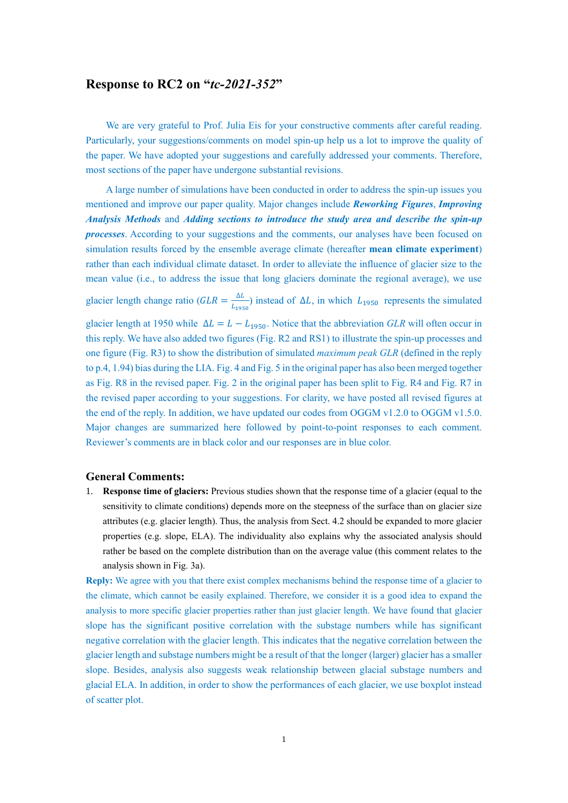## **Response to RC2 on "***tc-2021-352***"**

We are very grateful to Prof. Julia Eis for your constructive comments after careful reading. Particularly, your suggestions/comments on model spin-up help us a lot to improve the quality of the paper. We have adopted your suggestions and carefully addressed your comments. Therefore, most sections of the paper have undergone substantial revisions.

A large number of simulations have been conducted in order to address the spin-up issues you mentioned and improve our paper quality. Major changes include *Reworking Figures*, *Improving Analysis Methods* and *Adding sections to introduce the study area and describe the spin-up processes*. According to your suggestions and the comments, our analyses have been focused on simulation results forced by the ensemble average climate (hereafter **mean climate experiment**) rather than each individual climate dataset. In order to alleviate the influence of glacier size to the mean value (i.e., to address the issue that long glaciers dominate the regional average), we use glacier length change ratio ( $GLR = \frac{\Delta L}{l}$  $\frac{\Delta L}{L_{1950}}$ ) instead of  $\Delta L$ , in which  $L_{1950}$  represents the simulated glacier length at 1950 while  $\Delta L = L - L_{1950}$ . Notice that the abbreviation *GLR* will often occur in this reply. We have also added two figures (Fig. R2 and RS1) to illustrate the spin-up processes and one figure (Fig. R3) to show the distribution of simulated *maximum peak GLR* (defined in the reply to p.4, 1.94) bias during the LIA. Fig. 4 and Fig. 5 in the original paper has also been merged together as Fig. R8 in the revised paper. Fig. 2 in the original paper has been split to Fig. R4 and Fig. R7 in the revised paper according to your suggestions. For clarity, we have posted all revised figures at the end of the reply. In addition, we have updated our codes from OGGM v1.2.0 to OGGM v1.5.0. Major changes are summarized here followed by point-to-point responses to each comment. Reviewer's comments are in black color and our responses are in blue color.

#### **General Comments:**

1. **Response time of glaciers:** Previous studies shown that the response time of a glacier (equal to the sensitivity to climate conditions) depends more on the steepness of the surface than on glacier size attributes (e.g. glacier length). Thus, the analysis from Sect. 4.2 should be expanded to more glacier properties (e.g. slope, ELA). The individuality also explains why the associated analysis should rather be based on the complete distribution than on the average value (this comment relates to the analysis shown in Fig. 3a).

**Reply:** We agree with you that there exist complex mechanisms behind the response time of a glacier to the climate, which cannot be easily explained. Therefore, we consider it is a good idea to expand the analysis to more specific glacier properties rather than just glacier length. We have found that glacier slope has the significant positive correlation with the substage numbers while has significant negative correlation with the glacier length. This indicates that the negative correlation between the glacier length and substage numbers might be a result of that the longer (larger) glacier has a smaller slope. Besides, analysis also suggests weak relationship between glacial substage numbers and glacial ELA. In addition, in order to show the performances of each glacier, we use boxplot instead of scatter plot.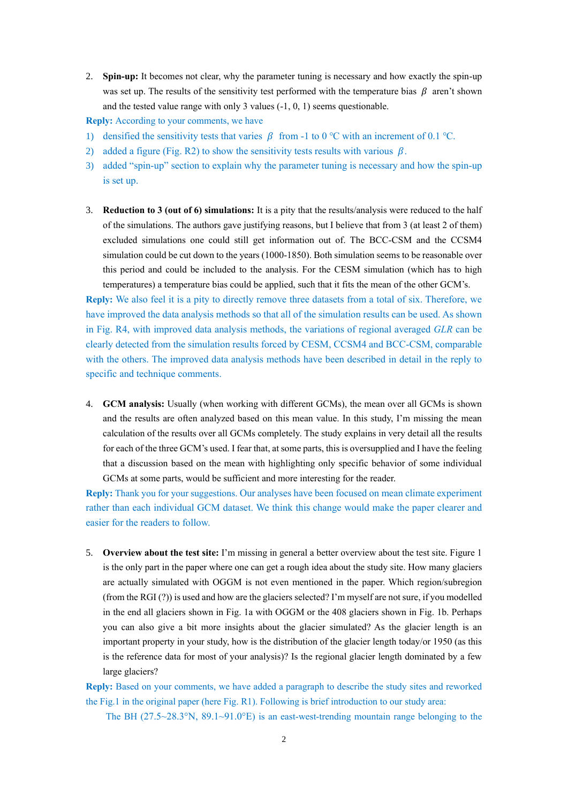2. **Spin-up:** It becomes not clear, why the parameter tuning is necessary and how exactly the spin-up was set up. The results of the sensitivity test performed with the temperature bias  $\beta$  aren't shown and the tested value range with only 3 values (-1, 0, 1) seems questionable.

**Reply:** According to your comments, we have

- 1) densified the sensitivity tests that varies  $\beta$  from -1 to 0 °C with an increment of 0.1 °C.
- 2) added a figure (Fig. R2) to show the sensitivity tests results with various  $\beta$ .
- 3) added "spin-up" section to explain why the parameter tuning is necessary and how the spin-up is set up.
- 3. **Reduction to 3 (out of 6) simulations:** It is a pity that the results/analysis were reduced to the half of the simulations. The authors gave justifying reasons, but I believe that from 3 (at least 2 of them) excluded simulations one could still get information out of. The BCC-CSM and the CCSM4 simulation could be cut down to the years (1000-1850). Both simulation seems to be reasonable over this period and could be included to the analysis. For the CESM simulation (which has to high temperatures) a temperature bias could be applied, such that it fits the mean of the other GCM's.

**Reply:** We also feel it is a pity to directly remove three datasets from a total of six. Therefore, we have improved the data analysis methods so that all of the simulation results can be used. As shown in Fig. R4, with improved data analysis methods, the variations of regional averaged *GLR* can be clearly detected from the simulation results forced by CESM, CCSM4 and BCC-CSM, comparable with the others. The improved data analysis methods have been described in detail in the reply to specific and technique comments.

4. **GCM analysis:** Usually (when working with different GCMs), the mean over all GCMs is shown and the results are often analyzed based on this mean value. In this study, I'm missing the mean calculation of the results over all GCMs completely. The study explains in very detail all the results for each of the three GCM's used. I fear that, at some parts, this is oversupplied and I have the feeling that a discussion based on the mean with highlighting only specific behavior of some individual GCMs at some parts, would be sufficient and more interesting for the reader.

**Reply:** Thank you for your suggestions. Our analyses have been focused on mean climate experiment rather than each individual GCM dataset. We think this change would make the paper clearer and easier for the readers to follow.

5. **Overview about the test site:** I'm missing in general a better overview about the test site. Figure 1 is the only part in the paper where one can get a rough idea about the study site. How many glaciers are actually simulated with OGGM is not even mentioned in the paper. Which region/subregion (from the RGI (?)) is used and how are the glaciers selected? I'm myself are not sure, if you modelled in the end all glaciers shown in Fig. 1a with OGGM or the 408 glaciers shown in Fig. 1b. Perhaps you can also give a bit more insights about the glacier simulated? As the glacier length is an important property in your study, how is the distribution of the glacier length today/or 1950 (as this is the reference data for most of your analysis)? Is the regional glacier length dominated by a few large glaciers?

**Reply:** Based on your comments, we have added a paragraph to describe the study sites and reworked the Fig.1 in the original paper (here Fig. R1). Following is brief introduction to our study area:

The BH  $(27.5~28.3^{\circ}N, 89.1~91.0^{\circ}E)$  is an east-west-trending mountain range belonging to the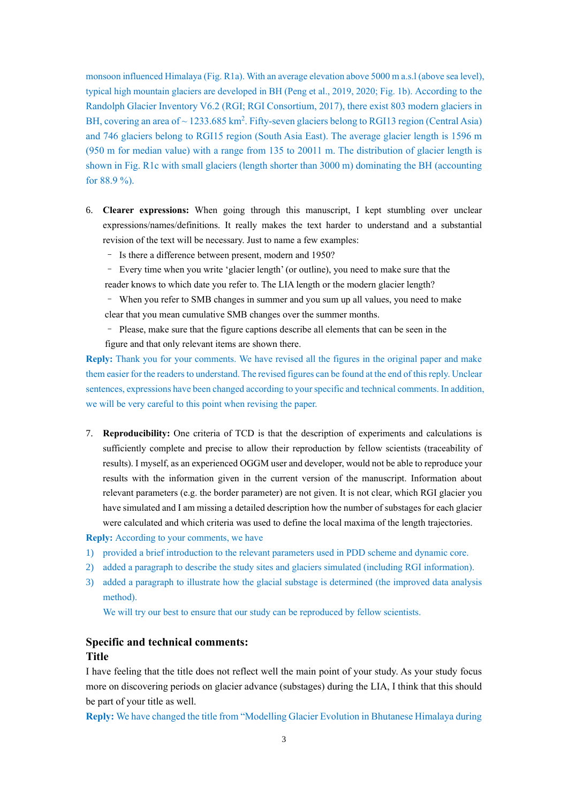monsoon influenced Himalaya (Fig. R1a). With an average elevation above 5000 m a.s.l (above sea level), typical high mountain glaciers are developed in BH (Peng et al., 2019, 2020; Fig. 1b). According to the Randolph Glacier Inventory V6.2 (RGI; RGI Consortium, 2017), there exist 803 modern glaciers in BH, covering an area of  $\sim$  1233.685 km<sup>2</sup>. Fifty-seven glaciers belong to RGI13 region (Central Asia) and 746 glaciers belong to RGI15 region (South Asia East). The average glacier length is 1596 m (950 m for median value) with a range from 135 to 20011 m. The distribution of glacier length is shown in Fig. R1c with small glaciers (length shorter than 3000 m) dominating the BH (accounting for 88.9 %).

- 6. **Clearer expressions:** When going through this manuscript, I kept stumbling over unclear expressions/names/definitions. It really makes the text harder to understand and a substantial revision of the text will be necessary. Just to name a few examples:
	- Is there a difference between present, modern and 1950?
	- Every time when you write 'glacier length' (or outline), you need to make sure that the
	- reader knows to which date you refer to. The LIA length or the modern glacier length?
	- When you refer to SMB changes in summer and you sum up all values, you need to make
	- clear that you mean cumulative SMB changes over the summer months.
	- Please, make sure that the figure captions describe all elements that can be seen in the figure and that only relevant items are shown there.

**Reply:** Thank you for your comments. We have revised all the figures in the original paper and make them easier for the readers to understand. The revised figures can be found at the end of this reply. Unclear sentences, expressions have been changed according to your specific and technical comments. In addition, we will be very careful to this point when revising the paper.

7. **Reproducibility:** One criteria of TCD is that the description of experiments and calculations is sufficiently complete and precise to allow their reproduction by fellow scientists (traceability of results). I myself, as an experienced OGGM user and developer, would not be able to reproduce your results with the information given in the current version of the manuscript. Information about relevant parameters (e.g. the border parameter) are not given. It is not clear, which RGI glacier you have simulated and I am missing a detailed description how the number of substages for each glacier were calculated and which criteria was used to define the local maxima of the length trajectories.

**Reply:** According to your comments, we have

- 1) provided a brief introduction to the relevant parameters used in PDD scheme and dynamic core.
- 2) added a paragraph to describe the study sites and glaciers simulated (including RGI information).
- 3) added a paragraph to illustrate how the glacial substage is determined (the improved data analysis method).

We will try our best to ensure that our study can be reproduced by fellow scientists.

## **Specific and technical comments: Title**

I have feeling that the title does not reflect well the main point of your study. As your study focus more on discovering periods on glacier advance (substages) during the LIA, I think that this should be part of your title as well.

**Reply:** We have changed the title from "Modelling Glacier Evolution in Bhutanese Himalaya during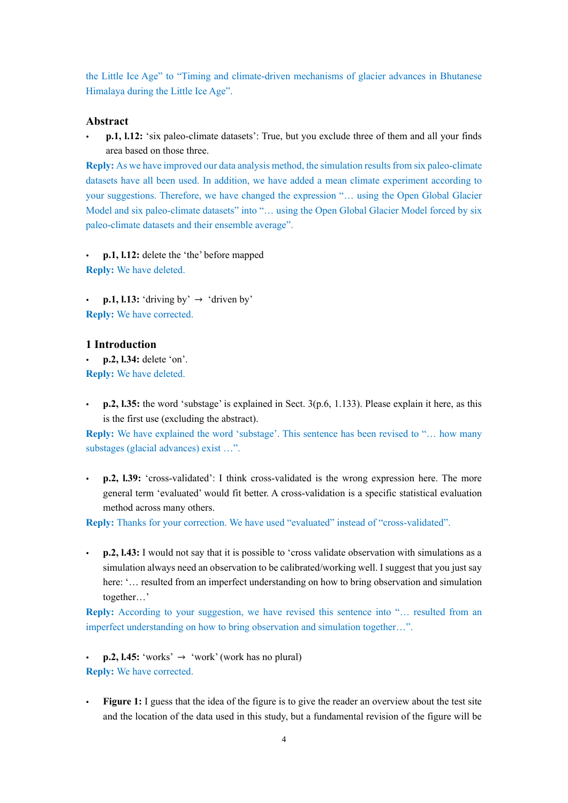the Little Ice Age" to "Timing and climate-driven mechanisms of glacier advances in Bhutanese Himalaya during the Little Ice Age".

#### **Abstract**

 **p.1, l.12:** 'six paleo-climate datasets': True, but you exclude three of them and all your finds area based on those three.

**Reply:** As we have improved our data analysis method, the simulation results from six paleo-climate datasets have all been used. In addition, we have added a mean climate experiment according to your suggestions. Therefore, we have changed the expression "… using the Open Global Glacier Model and six paleo-climate datasets" into "… using the Open Global Glacier Model forced by six paleo-climate datasets and their ensemble average".

 **p.1, l.12:** delete the 'the' before mapped **Reply:** We have deleted.

**p.1, l.13:** 'driving by'  $\rightarrow$  'driven by' **Reply:** We have corrected.

## **1 Introduction**

 **p.2, l.34:** delete 'on'. **Reply:** We have deleted.

 **p.2, l.35:** the word 'substage' is explained in Sect. 3(p.6, 1.133). Please explain it here, as this is the first use (excluding the abstract).

**Reply:** We have explained the word 'substage'. This sentence has been revised to "… how many substages (glacial advances) exist …".

 **p.2, l.39:** 'cross-validated': I think cross-validated is the wrong expression here. The more general term 'evaluated' would fit better. A cross-validation is a specific statistical evaluation method across many others.

**Reply:** Thanks for your correction. We have used "evaluated" instead of "cross-validated".

 **p.2, l.43:** I would not say that it is possible to 'cross validate observation with simulations as a simulation always need an observation to be calibrated/working well. I suggest that you just say here: '... resulted from an imperfect understanding on how to bring observation and simulation together…'

**Reply:** According to your suggestion, we have revised this sentence into "... resulted from an imperfect understanding on how to bring observation and simulation together…".

**p.2, l.45:** 'works'  $\rightarrow$  'work' (work has no plural) **Reply:** We have corrected.

 **Figure 1:** I guess that the idea of the figure is to give the reader an overview about the test site and the location of the data used in this study, but a fundamental revision of the figure will be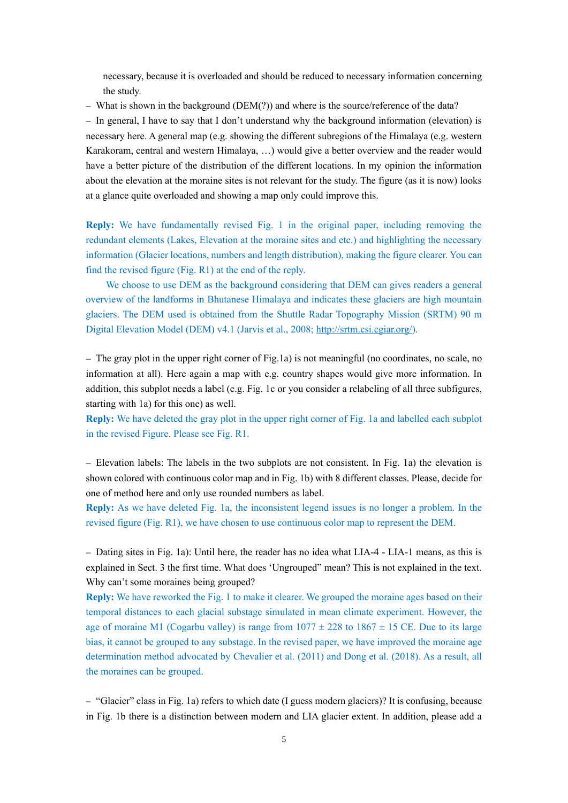necessary, because it is overloaded and should be reduced to necessary information concerning the study.

– What is shown in the background (DEM(?)) and where is the source/reference of the data?

– In general, I have to say that I don't understand why the background information (elevation) is necessary here. A general map (e.g. showing the different subregions of the Himalaya (e.g. western Karakoram, central and western Himalaya, …) would give a better overview and the reader would have a better picture of the distribution of the different locations. In my opinion the information about the elevation at the moraine sites is not relevant for the study. The figure (as it is now) looks at a glance quite overloaded and showing a map only could improve this.

**Reply:** We have fundamentally revised Fig. 1 in the original paper, including removing the redundant elements (Lakes, Elevation at the moraine sites and etc.) and highlighting the necessary information (Glacier locations, numbers and length distribution), making the figure clearer. You can find the revised figure (Fig. R1) at the end of the reply.

We choose to use DEM as the background considering that DEM can gives readers a general overview of the landforms in Bhutanese Himalaya and indicates these glaciers are high mountain glaciers. The DEM used is obtained from the Shuttle Radar Topography Mission (SRTM) 90 m Digital Elevation Model (DEM) v4.1 (Jarvis et al., 2008; [http://srtm.csi.cgiar.org/\)](http://srtm.csi.cgiar.org/).

– The gray plot in the upper right corner of Fig.1a) is not meaningful (no coordinates, no scale, no information at all). Here again a map with e.g. country shapes would give more information. In addition, this subplot needs a label (e.g. Fig. 1c or you consider a relabeling of all three subfigures, starting with 1a) for this one) as well.

**Reply:** We have deleted the gray plot in the upper right corner of Fig. 1a and labelled each subplot in the revised Figure. Please see Fig. R1.

– Elevation labels: The labels in the two subplots are not consistent. In Fig. 1a) the elevation is shown colored with continuous color map and in Fig. 1b) with 8 different classes. Please, decide for one of method here and only use rounded numbers as label.

**Reply:** As we have deleted Fig. 1a, the inconsistent legend issues is no longer a problem. In the revised figure (Fig. R1), we have chosen to use continuous color map to represent the DEM.

– Dating sites in Fig. 1a): Until here, the reader has no idea what LIA-4 - LIA-1 means, as this is explained in Sect. 3 the first time. What does 'Ungrouped" mean? This is not explained in the text. Why can't some moraines being grouped?

**Reply:** We have reworked the Fig. 1 to make it clearer. We grouped the moraine ages based on their temporal distances to each glacial substage simulated in mean climate experiment. However, the age of moraine M1 (Cogarbu valley) is range from  $1077 \pm 228$  to  $1867 \pm 15$  CE. Due to its large bias, it cannot be grouped to any substage. In the revised paper, we have improved the moraine age determination method advocated by Chevalier et al. (2011) and Dong et al. (2018). As a result, all the moraines can be grouped.

– "Glacier" class in Fig. 1a) refers to which date (I guess modern glaciers)? It is confusing, because in Fig. 1b there is a distinction between modern and LIA glacier extent. In addition, please add a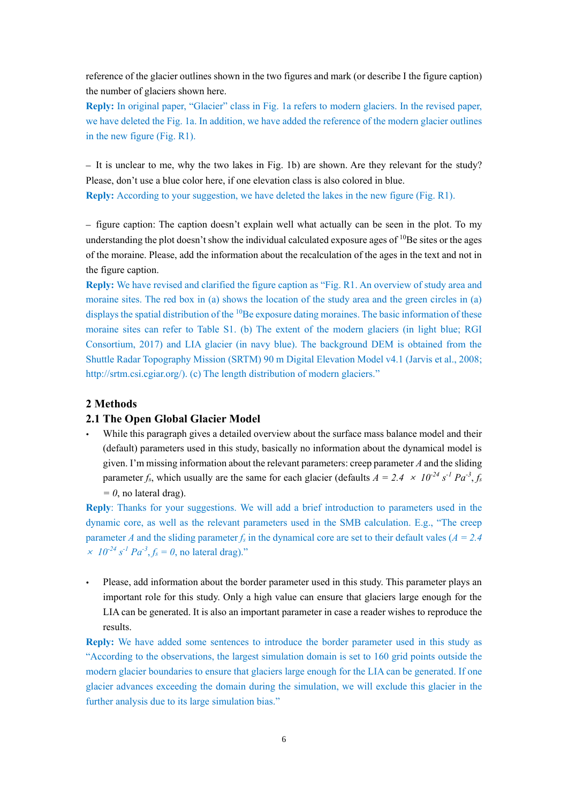reference of the glacier outlines shown in the two figures and mark (or describe I the figure caption) the number of glaciers shown here.

**Reply:** In original paper, "Glacier" class in Fig. 1a refers to modern glaciers. In the revised paper, we have deleted the Fig. 1a. In addition, we have added the reference of the modern glacier outlines in the new figure (Fig. R1).

– It is unclear to me, why the two lakes in Fig. 1b) are shown. Are they relevant for the study? Please, don't use a blue color here, if one elevation class is also colored in blue. **Reply:** According to your suggestion, we have deleted the lakes in the new figure (Fig. R1).

– figure caption: The caption doesn't explain well what actually can be seen in the plot. To my understanding the plot doesn't show the individual calculated exposure ages of  $^{10}$ Be sites or the ages of the moraine. Please, add the information about the recalculation of the ages in the text and not in the figure caption.

**Reply:** We have revised and clarified the figure caption as "Fig. R1. An overview of study area and moraine sites. The red box in (a) shows the location of the study area and the green circles in (a) displays the spatial distribution of the  $^{10}$ Be exposure dating moraines. The basic information of these moraine sites can refer to Table S1. (b) The extent of the modern glaciers (in light blue; RGI Consortium, 2017) and LIA glacier (in navy blue). The background DEM is obtained from the Shuttle Radar Topography Mission (SRTM) 90 m Digital Elevation Model v4.1 (Jarvis et al., 2008; http://srtm.csi.cgiar.org/). (c) The length distribution of modern glaciers."

## **2 Methods**

#### **2.1 The Open Global Glacier Model**

 While this paragraph gives a detailed overview about the surface mass balance model and their (default) parameters used in this study, basically no information about the dynamical model is given. I'm missing information about the relevant parameters: creep parameter *A* and the sliding parameter *f<sub>s</sub>*, which usually are the same for each glacier (defaults  $A = 2.4 \times 10^{-24} s^{-1} Pa^{-3}$ ,  $f_s$  $= 0$ , no lateral drag).

**Reply**: Thanks for your suggestions. We will add a brief introduction to parameters used in the dynamic core, as well as the relevant parameters used in the SMB calculation. E.g., "The creep parameter *A* and the sliding parameter  $f_s$  in the dynamical core are set to their default vales ( $A = 2.4$  $\times$  10<sup>-24</sup> s<sup>-1</sup> Pa<sup>-3</sup>, f<sub>s</sub> = 0, no lateral drag)."

 Please, add information about the border parameter used in this study. This parameter plays an important role for this study. Only a high value can ensure that glaciers large enough for the LIA can be generated. It is also an important parameter in case a reader wishes to reproduce the results.

**Reply:** We have added some sentences to introduce the border parameter used in this study as "According to the observations, the largest simulation domain is set to 160 grid points outside the modern glacier boundaries to ensure that glaciers large enough for the LIA can be generated. If one glacier advances exceeding the domain during the simulation, we will exclude this glacier in the further analysis due to its large simulation bias."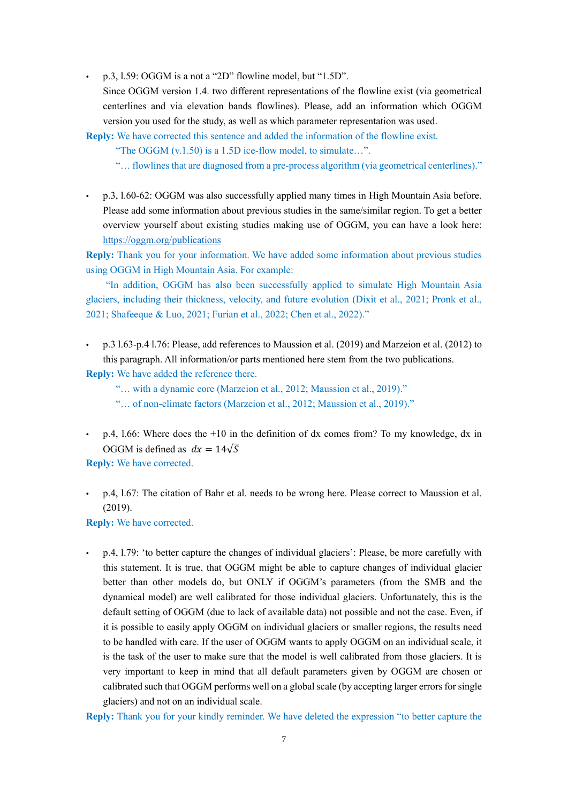p.3, l.59: OGGM is a not a "2D" flowline model, but "1.5D".

Since OGGM version 1.4. two different representations of the flowline exist (via geometrical centerlines and via elevation bands flowlines). Please, add an information which OGGM version you used for the study, as well as which parameter representation was used.

**Reply:** We have corrected this sentence and added the information of the flowline exist.

"The OGGM (v.1.50) is a 1.5D ice-flow model, to simulate...".

"… flowlines that are diagnosed from a pre-process algorithm (via geometrical centerlines)."

 p.3, l.60-62: OGGM was also successfully applied many times in High Mountain Asia before. Please add some information about previous studies in the same/similar region. To get a better overview yourself about existing studies making use of OGGM, you can have a look here: <https://oggm.org/publications>

**Reply:** Thank you for your information. We have added some information about previous studies using OGGM in High Mountain Asia. For example:

"In addition, OGGM has also been successfully applied to simulate High Mountain Asia glaciers, including their thickness, velocity, and future evolution (Dixit et al., 2021; Pronk et al., 2021; Shafeeque & Luo, 2021; Furian et al., 2022; Chen et al., 2022)."

 p.3 l.63-p.4 l.76: Please, add references to Maussion et al. (2019) and Marzeion et al. (2012) to this paragraph. All information/or parts mentioned here stem from the two publications.

**Reply:** We have added the reference there.

"… with a dynamic core (Marzeion et al., 2012; Maussion et al., 2019)." "… of non-climate factors (Marzeion et al., 2012; Maussion et al., 2019)."

 $\bullet$  p.4, 1.66: Where does the +10 in the definition of dx comes from? To my knowledge, dx in OGGM is defined as  $dx = 14\sqrt{S}$ 

**Reply:** We have corrected.

 p.4, l.67: The citation of Bahr et al. needs to be wrong here. Please correct to Maussion et al. (2019).

**Reply:** We have corrected.

 p.4, l.79: 'to better capture the changes of individual glaciers': Please, be more carefully with this statement. It is true, that OGGM might be able to capture changes of individual glacier better than other models do, but ONLY if OGGM's parameters (from the SMB and the dynamical model) are well calibrated for those individual glaciers. Unfortunately, this is the default setting of OGGM (due to lack of available data) not possible and not the case. Even, if it is possible to easily apply OGGM on individual glaciers or smaller regions, the results need to be handled with care. If the user of OGGM wants to apply OGGM on an individual scale, it is the task of the user to make sure that the model is well calibrated from those glaciers. It is very important to keep in mind that all default parameters given by OGGM are chosen or calibrated such that OGGM performs well on a global scale (by accepting larger errors for single glaciers) and not on an individual scale.

**Reply:** Thank you for your kindly reminder. We have deleted the expression "to better capture the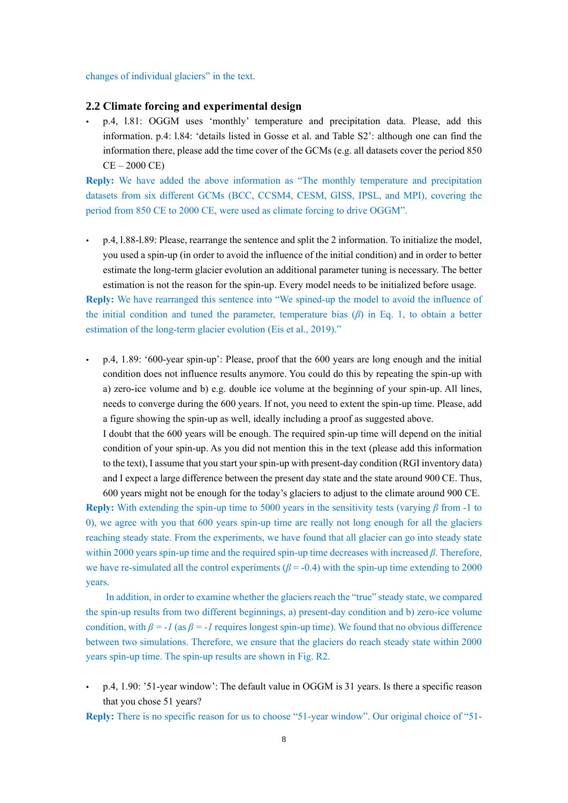changes of individual glaciers" in the text.

#### **2.2 Climate forcing and experimental design**

 p.4, l.81: OGGM uses 'monthly' temperature and precipitation data. Please, add this information. p.4: l.84: 'details listed in Gosse et al. and Table S2': although one can find the information there, please add the time cover of the GCMs (e.g. all datasets cover the period 850 CE – 2000 CE)

**Reply:** We have added the above information as "The monthly temperature and precipitation datasets from six different GCMs (BCC, CCSM4, CESM, GISS, IPSL, and MPI), covering the period from 850 CE to 2000 CE, were used as climate forcing to drive OGGM".

 p.4, l.88-l.89: Please, rearrange the sentence and split the 2 information. To initialize the model, you used a spin-up (in order to avoid the influence of the initial condition) and in order to better estimate the long-term glacier evolution an additional parameter tuning is necessary. The better estimation is not the reason for the spin-up. Every model needs to be initialized before usage.

**Reply:** We have rearranged this sentence into "We spined-up the model to avoid the influence of the initial condition and tuned the parameter, temperature bias (*β*) in Eq. 1, to obtain a better estimation of the long-term glacier evolution (Eis et al., 2019)."

 p.4, 1.89: '600-year spin-up': Please, proof that the 600 years are long enough and the initial condition does not influence results anymore. You could do this by repeating the spin-up with a) zero-ice volume and b) e.g. double ice volume at the beginning of your spin-up. All lines, needs to converge during the 600 years. If not, you need to extent the spin-up time. Please, add a figure showing the spin-up as well, ideally including a proof as suggested above.

I doubt that the 600 years will be enough. The required spin-up time will depend on the initial condition of your spin-up. As you did not mention this in the text (please add this information to the text), I assume that you start your spin-up with present-day condition (RGI inventory data) and I expect a large difference between the present day state and the state around 900 CE. Thus,

600 years might not be enough for the today's glaciers to adjust to the climate around 900 CE. **Reply:** With extending the spin-up time to 5000 years in the sensitivity tests (varying *β* from -1 to 0), we agree with you that 600 years spin-up time are really not long enough for all the glaciers reaching steady state. From the experiments, we have found that all glacier can go into steady state within 2000 years spin-up time and the required spin-up time decreases with increased *β*. Therefore, we have re-simulated all the control experiments  $(\beta = -0.4)$  with the spin-up time extending to 2000 years.

In addition, in order to examine whether the glaciers reach the "true" steady state, we compared the spin-up results from two different beginnings, a) present-day condition and b) zero-ice volume condition, with  $\beta = -1$  (as  $\beta = -1$  requires longest spin-up time). We found that no obvious difference between two simulations. Therefore, we ensure that the glaciers do reach steady state within 2000 years spin-up time. The spin-up results are shown in Fig. R2.

- p.4, 1.90: '51-year window': The default value in OGGM is 31 years. Is there a specific reason that you chose 51 years?
- **Reply:** There is no specific reason for us to choose "51-year window". Our original choice of "51-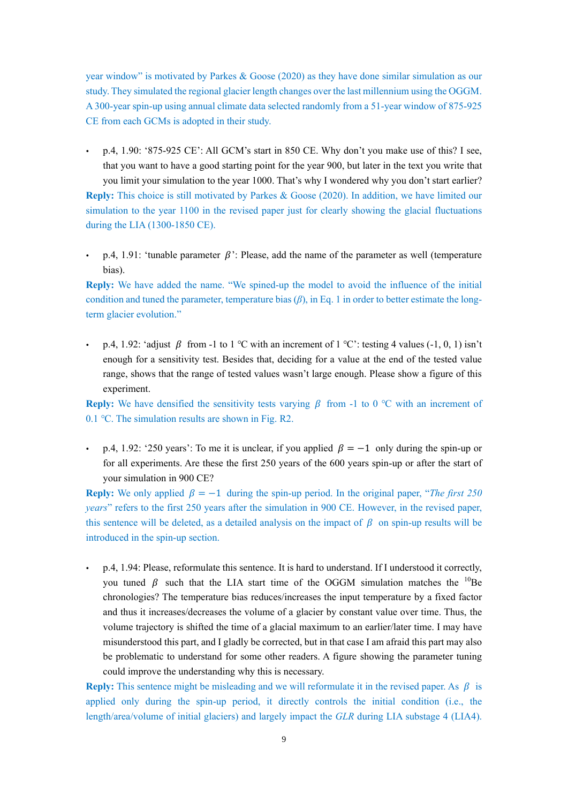year window" is motivated by Parkes & Goose (2020) as they have done similar simulation as our study. They simulated the regional glacier length changes over the last millennium using the OGGM. A 300-year spin-up using annual climate data selected randomly from a 51-year window of 875-925 CE from each GCMs is adopted in their study.

- p.4, 1.90: '875-925 CE': All GCM's start in 850 CE. Why don't you make use of this? I see, that you want to have a good starting point for the year 900, but later in the text you write that you limit your simulation to the year 1000. That's why I wondered why you don't start earlier? **Reply:** This choice is still motivated by Parkes & Goose (2020). In addition, we have limited our simulation to the year 1100 in the revised paper just for clearly showing the glacial fluctuations during the LIA (1300-1850 CE).
- p.4, 1.91: 'tunable parameter  $\beta$ ': Please, add the name of the parameter as well (temperature bias).

**Reply:** We have added the name. "We spined-up the model to avoid the influence of the initial condition and tuned the parameter, temperature bias  $(\beta)$ , in Eq. 1 in order to better estimate the longterm glacier evolution."

p.4, 1.92: 'adjust  $\beta$  from -1 to 1 °C with an increment of 1 °C': testing 4 values (-1, 0, 1) isn't enough for a sensitivity test. Besides that, deciding for a value at the end of the tested value range, shows that the range of tested values wasn't large enough. Please show a figure of this experiment.

**Reply:** We have densified the sensitivity tests varying  $\beta$  from -1 to 0 °C with an increment of 0.1 ℃. The simulation results are shown in Fig. R2.

p.4, 1.92: '250 years': To me it is unclear, if you applied  $\beta = -1$  only during the spin-up or for all experiments. Are these the first 250 years of the 600 years spin-up or after the start of your simulation in 900 CE?

**Reply:** We only applied  $\beta = -1$  during the spin-up period. In the original paper, "*The first 250 years*" refers to the first 250 years after the simulation in 900 CE. However, in the revised paper, this sentence will be deleted, as a detailed analysis on the impact of  $\beta$  on spin-up results will be introduced in the spin-up section.

 p.4, 1.94: Please, reformulate this sentence. It is hard to understand. If I understood it correctly, you tuned  $\beta$  such that the LIA start time of the OGGM simulation matches the <sup>10</sup>Be chronologies? The temperature bias reduces/increases the input temperature by a fixed factor and thus it increases/decreases the volume of a glacier by constant value over time. Thus, the volume trajectory is shifted the time of a glacial maximum to an earlier/later time. I may have misunderstood this part, and I gladly be corrected, but in that case I am afraid this part may also be problematic to understand for some other readers. A figure showing the parameter tuning could improve the understanding why this is necessary.

**Reply:** This sentence might be misleading and we will reformulate it in the revised paper. As  $\beta$  is applied only during the spin-up period, it directly controls the initial condition (i.e., the length/area/volume of initial glaciers) and largely impact the *GLR* during LIA substage 4 (LIA4).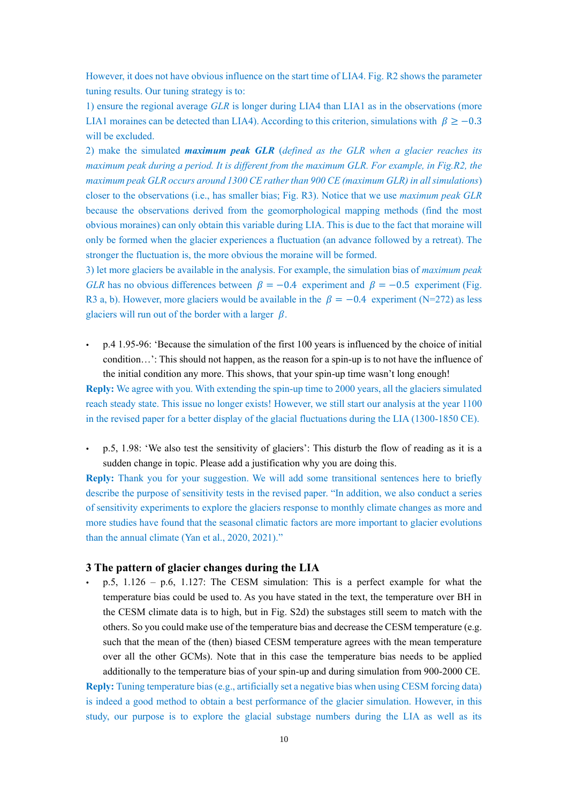However, it does not have obvious influence on the start time of LIA4. Fig. R2 shows the parameter tuning results. Our tuning strategy is to:

1) ensure the regional average *GLR* is longer during LIA4 than LIA1 as in the observations (more LIA1 moraines can be detected than LIA4). According to this criterion, simulations with  $\beta \ge -0.3$ will be excluded.

2) make the simulated *maximum peak GLR* (*defined as the GLR when a glacier reaches its maximum peak during a period. It is different from the maximum GLR. For example, in Fig.R2, the maximum peak GLR occurs around 1300 CE rather than 900 CE (maximum GLR) in all simulations*) closer to the observations (i.e., has smaller bias; Fig. R3). Notice that we use *maximum peak GLR* because the observations derived from the geomorphological mapping methods (find the most obvious moraines) can only obtain this variable during LIA. This is due to the fact that moraine will only be formed when the glacier experiences a fluctuation (an advance followed by a retreat). The stronger the fluctuation is, the more obvious the moraine will be formed.

3) let more glaciers be available in the analysis. For example, the simulation bias of *maximum peak GLR* has no obvious differences between  $\beta = -0.4$  experiment and  $\beta = -0.5$  experiment (Fig. R3 a, b). However, more glaciers would be available in the  $\beta = -0.4$  experiment (N=272) as less glaciers will run out of the border with a larger  $\beta$ .

 p.4 1.95-96: 'Because the simulation of the first 100 years is influenced by the choice of initial condition…': This should not happen, as the reason for a spin-up is to not have the influence of the initial condition any more. This shows, that your spin-up time wasn't long enough!

**Reply:** We agree with you. With extending the spin-up time to 2000 years, all the glaciers simulated reach steady state. This issue no longer exists! However, we still start our analysis at the year 1100 in the revised paper for a better display of the glacial fluctuations during the LIA (1300-1850 CE).

 p.5, 1.98: 'We also test the sensitivity of glaciers': This disturb the flow of reading as it is a sudden change in topic. Please add a justification why you are doing this.

**Reply:** Thank you for your suggestion. We will add some transitional sentences here to briefly describe the purpose of sensitivity tests in the revised paper. "In addition, we also conduct a series of sensitivity experiments to explore the glaciers response to monthly climate changes as more and more studies have found that the seasonal climatic factors are more important to glacier evolutions than the annual climate (Yan et al., 2020, 2021)."

## **3 The pattern of glacier changes during the LIA**

 p.5, 1.126 – p.6, 1.127: The CESM simulation: This is a perfect example for what the temperature bias could be used to. As you have stated in the text, the temperature over BH in the CESM climate data is to high, but in Fig. S2d) the substages still seem to match with the others. So you could make use of the temperature bias and decrease the CESM temperature (e.g. such that the mean of the (then) biased CESM temperature agrees with the mean temperature over all the other GCMs). Note that in this case the temperature bias needs to be applied additionally to the temperature bias of your spin-up and during simulation from 900-2000 CE.

**Reply:** Tuning temperature bias (e.g., artificially set a negative bias when using CESM forcing data) is indeed a good method to obtain a best performance of the glacier simulation. However, in this study, our purpose is to explore the glacial substage numbers during the LIA as well as its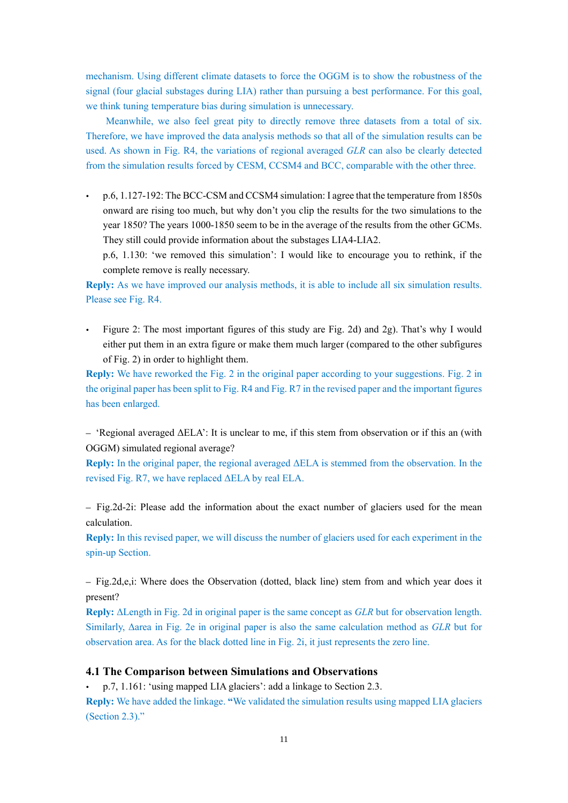mechanism. Using different climate datasets to force the OGGM is to show the robustness of the signal (four glacial substages during LIA) rather than pursuing a best performance. For this goal, we think tuning temperature bias during simulation is unnecessary.

Meanwhile, we also feel great pity to directly remove three datasets from a total of six. Therefore, we have improved the data analysis methods so that all of the simulation results can be used. As shown in Fig. R4, the variations of regional averaged *GLR* can also be clearly detected from the simulation results forced by CESM, CCSM4 and BCC, comparable with the other three.

 p.6, 1.127-192: The BCC-CSM and CCSM4 simulation: I agree that the temperature from 1850s onward are rising too much, but why don't you clip the results for the two simulations to the year 1850? The years 1000-1850 seem to be in the average of the results from the other GCMs. They still could provide information about the substages LIA4-LIA2.

p.6, 1.130: 'we removed this simulation': I would like to encourage you to rethink, if the complete remove is really necessary.

**Reply:** As we have improved our analysis methods, it is able to include all six simulation results. Please see Fig. R4.

 Figure 2: The most important figures of this study are Fig. 2d) and 2g). That's why I would either put them in an extra figure or make them much larger (compared to the other subfigures of Fig. 2) in order to highlight them.

**Reply:** We have reworked the Fig. 2 in the original paper according to your suggestions. Fig. 2 in the original paper has been split to Fig. R4 and Fig. R7 in the revised paper and the important figures has been enlarged.

– 'Regional averaged ΔELA': It is unclear to me, if this stem from observation or if this an (with OGGM) simulated regional average?

**Reply:** In the original paper, the regional averaged ΔELA is stemmed from the observation. In the revised Fig. R7, we have replaced ΔELA by real ELA.

– Fig.2d-2i: Please add the information about the exact number of glaciers used for the mean calculation.

**Reply:** In this revised paper, we will discuss the number of glaciers used for each experiment in the spin-up Section.

– Fig.2d,e,i: Where does the Observation (dotted, black line) stem from and which year does it present?

**Reply:** ΔLength in Fig. 2d in original paper is the same concept as *GLR* but for observation length. Similarly, Δarea in Fig. 2e in original paper is also the same calculation method as *GLR* but for observation area. As for the black dotted line in Fig. 2i, it just represents the zero line.

### **4.1 The Comparison between Simulations and Observations**

p.7, 1.161: 'using mapped LIA glaciers': add a linkage to Section 2.3.

**Reply:** We have added the linkage. **"**We validated the simulation results using mapped LIA glaciers (Section 2.3)."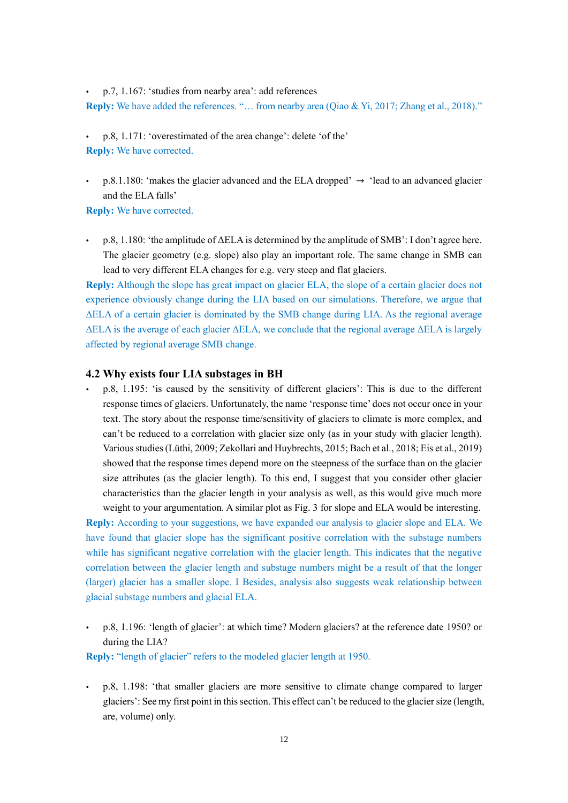p.7, 1.167: 'studies from nearby area': add references

**Reply:** We have added the references. "… from nearby area (Qiao & Yi, 2017; Zhang et al., 2018)."

- p.8, 1.171: 'overestimated of the area change': delete 'of the' **Reply:** We have corrected.
- p.8.1.180: 'makes the glacier advanced and the ELA dropped'  $\rightarrow$  'lead to an advanced glacier and the ELA falls'

**Reply:** We have corrected.

 p.8, 1.180: 'the amplitude of ΔELA is determined by the amplitude of SMB': I don't agree here. The glacier geometry (e.g. slope) also play an important role. The same change in SMB can lead to very different ELA changes for e.g. very steep and flat glaciers.

**Reply:** Although the slope has great impact on glacier ELA, the slope of a certain glacier does not experience obviously change during the LIA based on our simulations. Therefore, we argue that ΔELA of a certain glacier is dominated by the SMB change during LIA. As the regional average ΔELA is the average of each glacier ΔELA, we conclude that the regional average ΔELA is largely affected by regional average SMB change.

#### **4.2 Why exists four LIA substages in BH**

 p.8, 1.195: 'is caused by the sensitivity of different glaciers': This is due to the different response times of glaciers. Unfortunately, the name 'response time' does not occur once in your text. The story about the response time/sensitivity of glaciers to climate is more complex, and can't be reduced to a correlation with glacier size only (as in your study with glacier length). Various studies (Lüthi, 2009; Zekollari and Huybrechts, 2015; Bach et al., 2018; Eis et al., 2019) showed that the response times depend more on the steepness of the surface than on the glacier size attributes (as the glacier length). To this end, I suggest that you consider other glacier characteristics than the glacier length in your analysis as well, as this would give much more weight to your argumentation. A similar plot as Fig. 3 for slope and ELA would be interesting.

**Reply:** According to your suggestions, we have expanded our analysis to glacier slope and ELA. We have found that glacier slope has the significant positive correlation with the substage numbers while has significant negative correlation with the glacier length. This indicates that the negative correlation between the glacier length and substage numbers might be a result of that the longer (larger) glacier has a smaller slope. I Besides, analysis also suggests weak relationship between glacial substage numbers and glacial ELA.

 p.8, 1.196: 'length of glacier': at which time? Modern glaciers? at the reference date 1950? or during the LIA?

**Reply:** "length of glacier" refers to the modeled glacier length at 1950.

 p.8, 1.198: 'that smaller glaciers are more sensitive to climate change compared to larger glaciers': See my first point in this section. This effect can't be reduced to the glacier size (length, are, volume) only.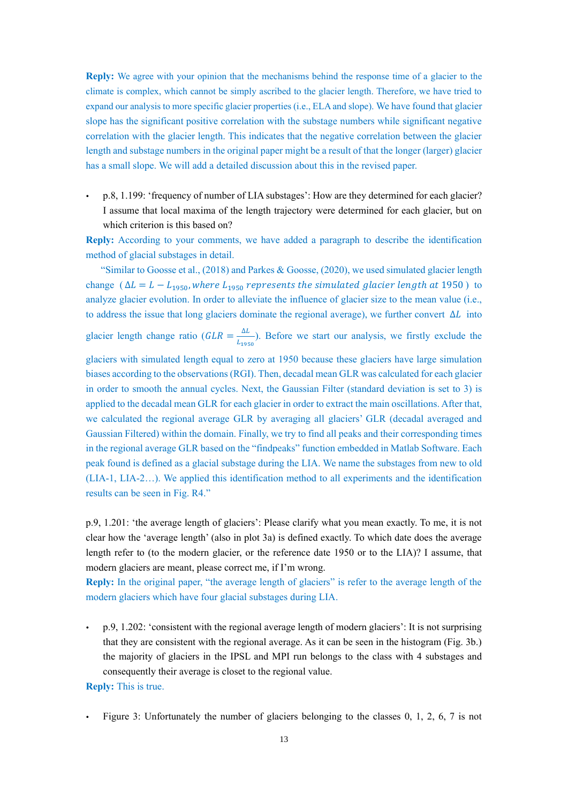**Reply:** We agree with your opinion that the mechanisms behind the response time of a glacier to the climate is complex, which cannot be simply ascribed to the glacier length. Therefore, we have tried to expand our analysis to more specific glacier properties (i.e., ELA and slope). We have found that glacier slope has the significant positive correlation with the substage numbers while significant negative correlation with the glacier length. This indicates that the negative correlation between the glacier length and substage numbers in the original paper might be a result of that the longer (larger) glacier has a small slope. We will add a detailed discussion about this in the revised paper.

 p.8, 1.199: 'frequency of number of LIA substages': How are they determined for each glacier? I assume that local maxima of the length trajectory were determined for each glacier, but on which criterion is this based on?

**Reply:** According to your comments, we have added a paragraph to describe the identification method of glacial substages in detail.

"Similar to Goosse et al.,  $(2018)$  and Parkes & Goosse,  $(2020)$ , we used simulated glacier length change ( $\Delta L = L - L_{1950}$ , where  $L_{1950}$  represents the simulated glacier length at 1950) to analyze glacier evolution. In order to alleviate the influence of glacier size to the mean value (i.e., to address the issue that long glaciers dominate the regional average), we further convert  $\Delta L$  into

glacier length change ratio ( $GLR = \frac{\Delta L}{l}$  $\frac{\Delta L}{L_{1950}}$ ). Before we start our analysis, we firstly exclude the

glaciers with simulated length equal to zero at 1950 because these glaciers have large simulation biases according to the observations (RGI). Then, decadal mean GLR was calculated for each glacier in order to smooth the annual cycles. Next, the Gaussian Filter (standard deviation is set to 3) is applied to the decadal mean GLR for each glacier in order to extract the main oscillations. After that, we calculated the regional average GLR by averaging all glaciers' GLR (decadal averaged and Gaussian Filtered) within the domain. Finally, we try to find all peaks and their corresponding times in the regional average GLR based on the "findpeaks" function embedded in Matlab Software. Each peak found is defined as a glacial substage during the LIA. We name the substages from new to old (LIA-1, LIA-2…). We applied this identification method to all experiments and the identification results can be seen in Fig. R4."

p.9, 1.201: 'the average length of glaciers': Please clarify what you mean exactly. To me, it is not clear how the 'average length' (also in plot 3a) is defined exactly. To which date does the average length refer to (to the modern glacier, or the reference date 1950 or to the LIA)? I assume, that modern glaciers are meant, please correct me, if I'm wrong.

**Reply:** In the original paper, "the average length of glaciers" is refer to the average length of the modern glaciers which have four glacial substages during LIA.

 p.9, 1.202: 'consistent with the regional average length of modern glaciers': It is not surprising that they are consistent with the regional average. As it can be seen in the histogram (Fig. 3b.) the majority of glaciers in the IPSL and MPI run belongs to the class with 4 substages and consequently their average is closet to the regional value.

#### **Reply:** This is true.

Figure 3: Unfortunately the number of glaciers belonging to the classes 0, 1, 2, 6, 7 is not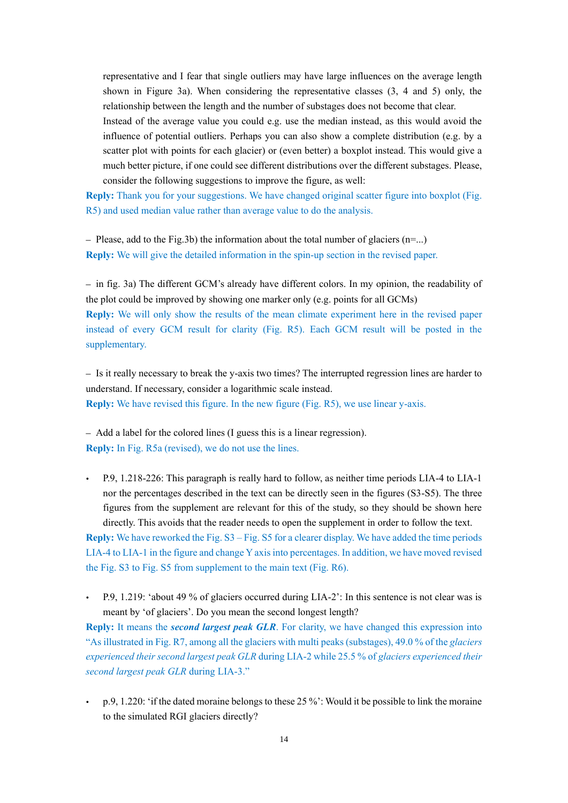representative and I fear that single outliers may have large influences on the average length shown in Figure 3a). When considering the representative classes (3, 4 and 5) only, the relationship between the length and the number of substages does not become that clear.

Instead of the average value you could e.g. use the median instead, as this would avoid the influence of potential outliers. Perhaps you can also show a complete distribution (e.g. by a scatter plot with points for each glacier) or (even better) a boxplot instead. This would give a much better picture, if one could see different distributions over the different substages. Please, consider the following suggestions to improve the figure, as well:

**Reply:** Thank you for your suggestions. We have changed original scatter figure into boxplot (Fig. R5) and used median value rather than average value to do the analysis.

– Please, add to the Fig.3b) the information about the total number of glaciers  $(n=...)$ **Reply:** We will give the detailed information in the spin-up section in the revised paper.

– in fig. 3a) The different GCM's already have different colors. In my opinion, the readability of the plot could be improved by showing one marker only (e.g. points for all GCMs) **Reply:** We will only show the results of the mean climate experiment here in the revised paper instead of every GCM result for clarity (Fig. R5). Each GCM result will be posted in the supplementary.

– Is it really necessary to break the y-axis two times? The interrupted regression lines are harder to understand. If necessary, consider a logarithmic scale instead. **Reply:** We have revised this figure. In the new figure (Fig. R5), we use linear y-axis.

– Add a label for the colored lines (I guess this is a linear regression). **Reply:** In Fig. R5a (revised), we do not use the lines.

 P.9, 1.218-226: This paragraph is really hard to follow, as neither time periods LIA-4 to LIA-1 nor the percentages described in the text can be directly seen in the figures (S3-S5). The three figures from the supplement are relevant for this of the study, so they should be shown here directly. This avoids that the reader needs to open the supplement in order to follow the text.

**Reply:** We have reworked the Fig. S3 – Fig. S5 for a clearer display. We have added the time periods LIA-4 to LIA-1 in the figure and change Y axis into percentages. In addition, we have moved revised the Fig. S3 to Fig. S5 from supplement to the main text (Fig. R6).

 P.9, 1.219: 'about 49 % of glaciers occurred during LIA-2': In this sentence is not clear was is meant by 'of glaciers'. Do you mean the second longest length?

**Reply:** It means the *second largest peak GLR*. For clarity, we have changed this expression into "As illustrated in Fig. R7, among all the glaciers with multi peaks (substages), 49.0 % of the *glaciers experienced their second largest peak GLR* during LIA-2 while 25.5 % of *glaciers experienced their second largest peak GLR* during LIA-3."

 $\cdot$  p.9, 1.220: 'if the dated moraine belongs to these 25 %': Would it be possible to link the moraine to the simulated RGI glaciers directly?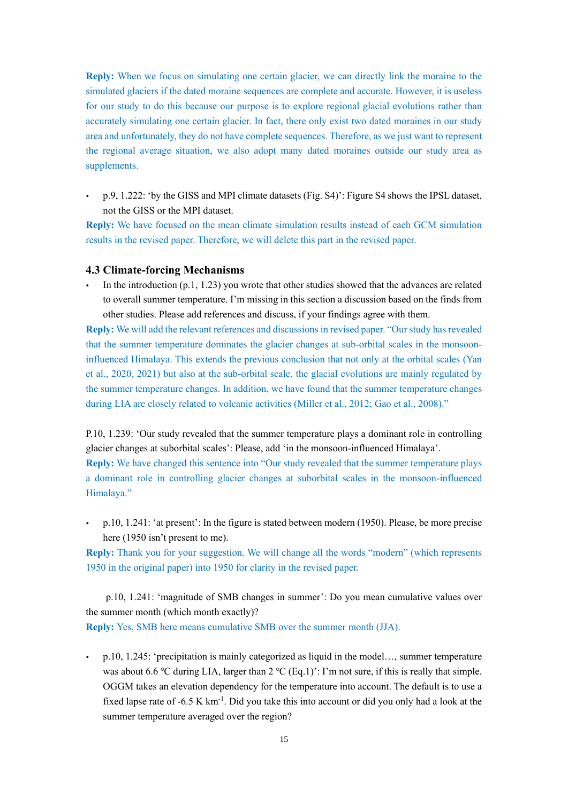**Reply:** When we focus on simulating one certain glacier, we can directly link the moraine to the simulated glaciers if the dated moraine sequences are complete and accurate. However, it is useless for our study to do this because our purpose is to explore regional glacial evolutions rather than accurately simulating one certain glacier. In fact, there only exist two dated moraines in our study area and unfortunately, they do not have complete sequences. Therefore, as we just want to represent the regional average situation, we also adopt many dated moraines outside our study area as supplements.

 p.9, 1.222: 'by the GISS and MPI climate datasets (Fig. S4)': Figure S4 shows the IPSL dataset, not the GISS or the MPI dataset.

**Reply:** We have focused on the mean climate simulation results instead of each GCM simulation results in the revised paper. Therefore, we will delete this part in the revised paper.

#### **4.3 Climate-forcing Mechanisms**

 In the introduction (p.1, 1.23) you wrote that other studies showed that the advances are related to overall summer temperature. I'm missing in this section a discussion based on the finds from other studies. Please add references and discuss, if your findings agree with them.

**Reply:** We will add the relevant references and discussions in revised paper. "Our study has revealed that the summer temperature dominates the glacier changes at sub-orbital scales in the monsooninfluenced Himalaya. This extends the previous conclusion that not only at the orbital scales (Yan et al., 2020, 2021) but also at the sub-orbital scale, the glacial evolutions are mainly regulated by the summer temperature changes. In addition, we have found that the summer temperature changes during LIA are closely related to volcanic activities (Miller et al., 2012; Gao et al., 2008)."

P.10, 1.239: 'Our study revealed that the summer temperature plays a dominant role in controlling glacier changes at suborbital scales': Please, add 'in the monsoon-influenced Himalaya'.

**Reply:** We have changed this sentence into "Our study revealed that the summer temperature plays a dominant role in controlling glacier changes at suborbital scales in the monsoon-influenced Himalaya."

 p.10, 1.241: 'at present': In the figure is stated between modern (1950). Please, be more precise here (1950 isn't present to me).

**Reply:** Thank you for your suggestion. We will change all the words "modern" (which represents 1950 in the original paper) into 1950 for clarity in the revised paper.

p.10, 1.241: 'magnitude of SMB changes in summer': Do you mean cumulative values over the summer month (which month exactly)? **Reply:** Yes, SMB here means cumulative SMB over the summer month (JJA).

 p.10, 1.245: 'precipitation is mainly categorized as liquid in the model…, summer temperature was about 6.6 °C during LIA, larger than 2 °C (Eq.1)': I'm not sure, if this is really that simple. OGGM takes an elevation dependency for the temperature into account. The default is to use a fixed lapse rate of  $-6.5 \text{ K km}^{-1}$ . Did you take this into account or did you only had a look at the summer temperature averaged over the region?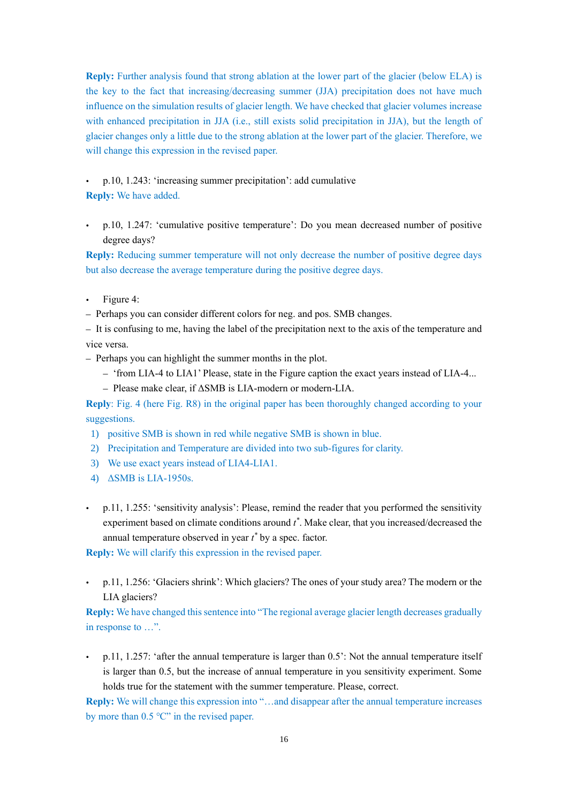**Reply:** Further analysis found that strong ablation at the lower part of the glacier (below ELA) is the key to the fact that increasing/decreasing summer (JJA) precipitation does not have much influence on the simulation results of glacier length. We have checked that glacier volumes increase with enhanced precipitation in JJA (i.e., still exists solid precipitation in JJA), but the length of glacier changes only a little due to the strong ablation at the lower part of the glacier. Therefore, we will change this expression in the revised paper.

# p.10, 1.243: 'increasing summer precipitation': add cumulative

**Reply:** We have added.

 p.10, 1.247: 'cumulative positive temperature': Do you mean decreased number of positive degree days?

**Reply:** Reducing summer temperature will not only decrease the number of positive degree days but also decrease the average temperature during the positive degree days.

- Figure 4:
- Perhaps you can consider different colors for neg. and pos. SMB changes.

– It is confusing to me, having the label of the precipitation next to the axis of the temperature and vice versa.

- Perhaps you can highlight the summer months in the plot.
	- 'from LIA-4 to LIA1' Please, state in the Figure caption the exact years instead of LIA-4...
	- Please make clear, if ΔSMB is LIA-modern or modern-LIA.

**Reply**: Fig. 4 (here Fig. R8) in the original paper has been thoroughly changed according to your suggestions.

- 1) positive SMB is shown in red while negative SMB is shown in blue.
- 2) Precipitation and Temperature are divided into two sub-figures for clarity.
- 3) We use exact years instead of LIA4-LIA1.
- 4) ΔSMB is LIA-1950s.
- p.11, 1.255: 'sensitivity analysis': Please, remind the reader that you performed the sensitivity experiment based on climate conditions around *t \** . Make clear, that you increased/decreased the annual temperature observed in year *t \** by a spec. factor.

**Reply:** We will clarify this expression in the revised paper.

 p.11, 1.256: 'Glaciers shrink': Which glaciers? The ones of your study area? The modern or the LIA glaciers?

**Reply:** We have changed this sentence into "The regional average glacier length decreases gradually in response to …".

 p.11, 1.257: 'after the annual temperature is larger than 0.5': Not the annual temperature itself is larger than 0.5, but the increase of annual temperature in you sensitivity experiment. Some holds true for the statement with the summer temperature. Please, correct.

**Reply:** We will change this expression into "…and disappear after the annual temperature increases by more than 0.5 ℃" in the revised paper.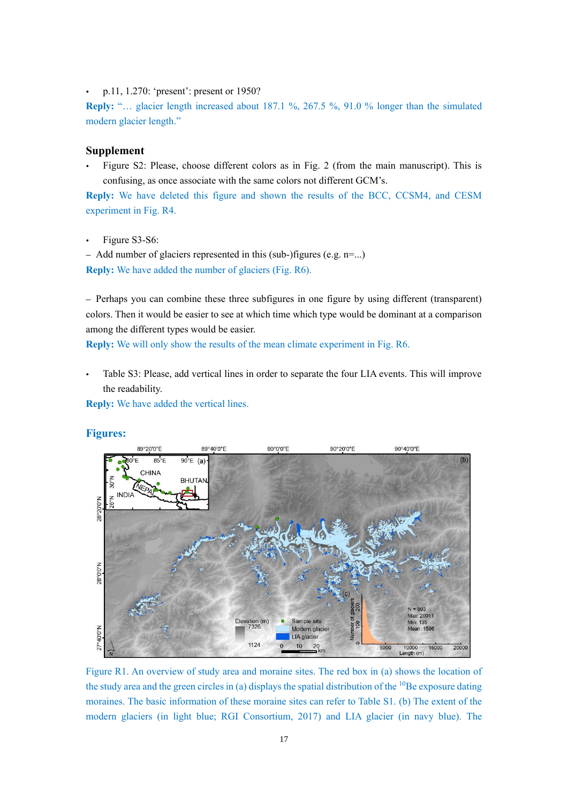• p.11, 1.270: 'present': present or 1950?

**Reply:** "… glacier length increased about 187.1 %, 267.5 %, 91.0 % longer than the simulated modern glacier length."

## **Supplement**

 Figure S2: Please, choose different colors as in Fig. 2 (from the main manuscript). This is confusing, as once associate with the same colors not different GCM's.

**Reply:** We have deleted this figure and shown the results of the BCC, CCSM4, and CESM experiment in Fig. R4.

Figure S3-S6:

– Add number of glaciers represented in this (sub-)figures (e.g. n=...) **Reply:** We have added the number of glaciers (Fig. R6).

– Perhaps you can combine these three subfigures in one figure by using different (transparent) colors. Then it would be easier to see at which time which type would be dominant at a comparison among the different types would be easier.

**Reply:** We will only show the results of the mean climate experiment in Fig. R6.

 Table S3: Please, add vertical lines in order to separate the four LIA events. This will improve the readability.

**Reply:** We have added the vertical lines.

#### **Figures:**



Figure R1. An overview of study area and moraine sites. The red box in (a) shows the location of the study area and the green circles in (a) displays the spatial distribution of the  $^{10}$ Be exposure dating moraines. The basic information of these moraine sites can refer to Table S1. (b) The extent of the modern glaciers (in light blue; RGI Consortium, 2017) and LIA glacier (in navy blue). The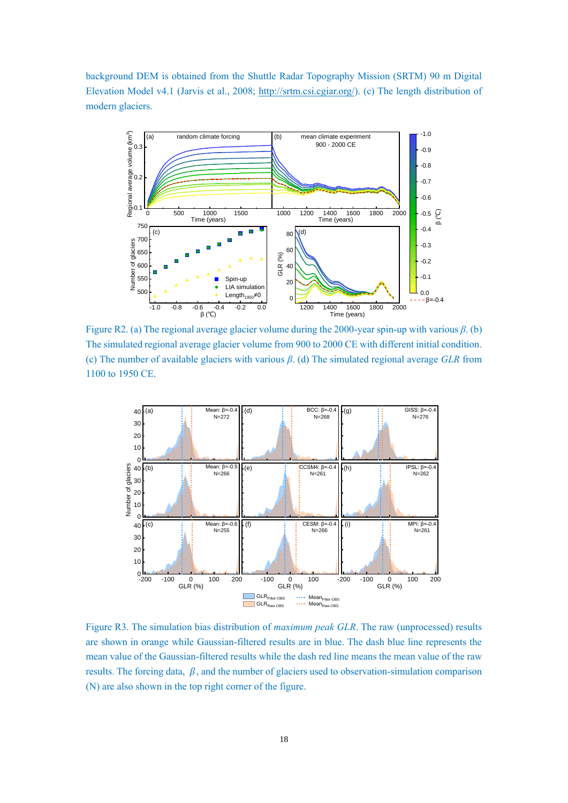background DEM is obtained from the Shuttle Radar Topography Mission (SRTM) 90 m Digital Elevation Model v4.1 (Jarvis et al., 2008; [http://srtm.csi.cgiar.org/\)](http://srtm.csi.cgiar.org/). (c) The length distribution of modern glaciers.



Figure R2. (a) The regional average glacier volume during the 2000-year spin-up with various *β*. (b) 0.0 The simulated regional average glacier volume from 900 to 2000 CE with different initial condition. (c) The number of available glaciers with various  $\beta$ . (d) The simulated regional average *GLR* from 1100 to 1950 CE.



Figure R3. The simulation bias distribution of *maximum peak GLR*. The raw (unprocessed) results are shown in orange while Gaussian-filtered results are in blue. The dash blue line represents the mean value of the Gaussian-filtered results while the dash red line means the mean value of the raw results. The forcing data,  $\beta$ , and the number of glaciers used to observation-simulation comparison (N) are also shown in the top right corner of the figure.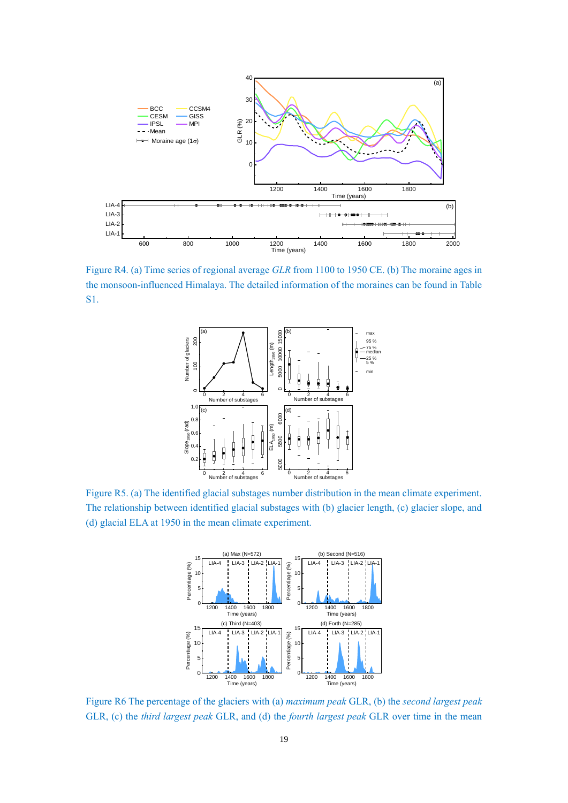

Figure R4. (a) Time series of regional average *GLR* from 1100 to 1950 CE. (b) The moraine ages in the monsoon-influenced Himalaya. The detailed information of the moraines can be found in Table S1.



Figure R5. (a) The identified glacial substages number distribution in the mean climate experiment. The relationship between identified glacial substages with (b) glacier length, (c) glacier slope, and (d) glacial ELA at 1950 in the mean climate experiment.



Figure R6 The percentage of the glaciers with (a) *maximum peak* GLR, (b) the *second largest peak* GLR, (c) the *third largest peak* GLR, and (d) the *fourth largest peak* GLR over time in the mean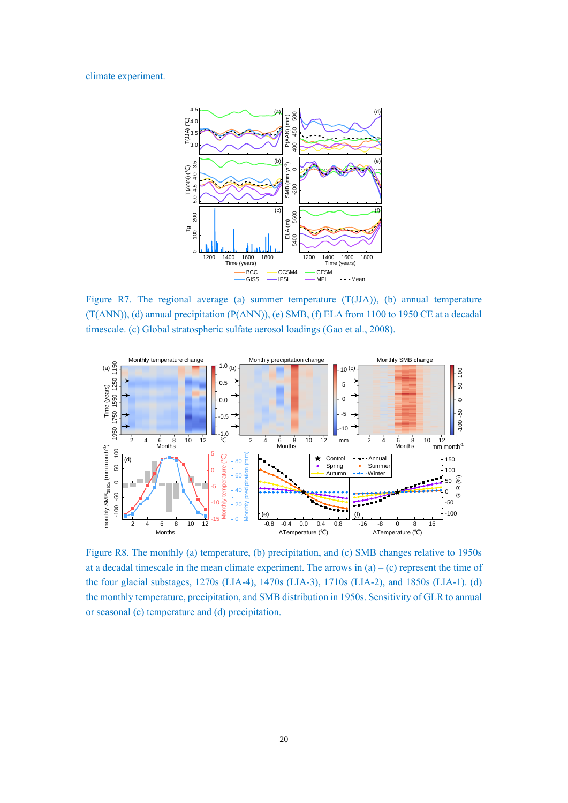#### climate experiment.



Figure R7. The regional average (a) summer temperature (T(JJA)), (b) annual temperature (T(ANN)), (d) annual precipitation (P(ANN)), (e) SMB, (f) ELA from 1100 to 1950 CE at a decadal timescale. (c) Global stratospheric sulfate aerosol loadings (Gao et al., 2008).



Figure R8. The monthly (a) temperature, (b) precipitation, and (c) SMB changes relative to 1950s at a decadal timescale in the mean climate experiment. The arrows in  $(a) - (c)$  represent the time of the four glacial substages, 1270s (LIA-4), 1470s (LIA-3), 1710s (LIA-2), and 1850s (LIA-1). (d) the monthly temperature, precipitation, and SMB distribution in 1950s. Sensitivity of GLR to annual or seasonal (e) temperature and (d) precipitation.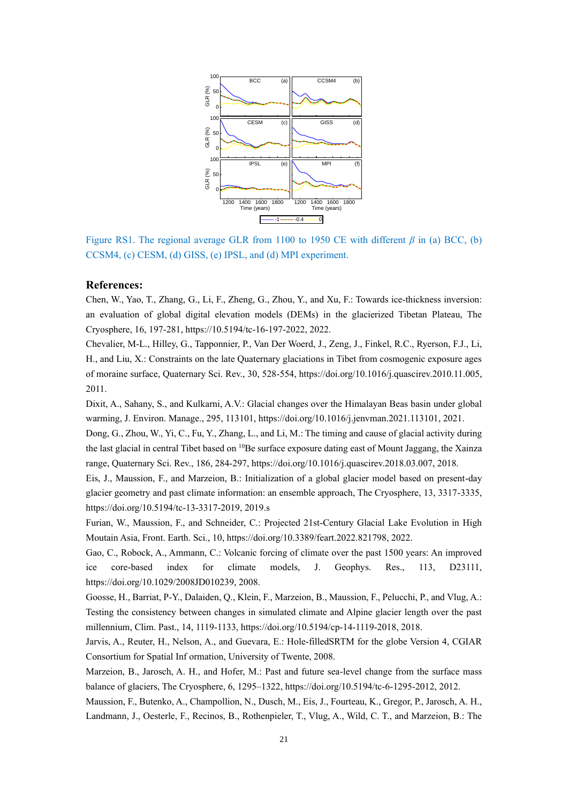

Figure RS1. The regional average GLR from 1100 to 1950 CE with different *β* in (a) BCC, (b) CCSM4, (c) CESM, (d) GISS, (e) IPSL, and (d) MPI experiment.

#### **References:**

Chen, W., Yao, T., Zhang, G., Li, F., Zheng, G., Zhou, Y., and Xu, F.: Towards ice-thickness inversion: an evaluation of global digital elevation models (DEMs) in the glacierized Tibetan Plateau, The Cryosphere, 16, 197-281, https://10.5194/tc-16-197-2022, 2022.

Chevalier, M-L., Hilley, G., Tapponnier, P., Van Der Woerd, J., Zeng, J., Finkel, R.C., Ryerson, F.J., Li, H., and Liu, X.: Constraints on the late Quaternary glaciations in Tibet from cosmogenic exposure ages of moraine surface, Quaternary Sci. Rev., 30, 528-554, https://doi.org/10.1016/j.quascirev.2010.11.005, 2011.

Dixit, A., Sahany, S., and Kulkarni, A.V.: Glacial changes over the Himalayan Beas basin under global warming, J. Environ. Manage., 295, 113101, https://doi.org/10.1016/j.jenvman.2021.113101, 2021.

Dong, G., Zhou, W., Yi, C., Fu, Y., Zhang, L., and Li, M.: The timing and cause of glacial activity during the last glacial in central Tibet based on <sup>10</sup>Be surface exposure dating east of Mount Jaggang, the Xainza range, Quaternary Sci. Rev., 186, 284-297, https://doi.org/10.1016/j.quascirev.2018.03.007, 2018.

Eis, J., Maussion, F., and Marzeion, B.: Initialization of a global glacier model based on present-day glacier geometry and past climate information: an ensemble approach, The Cryosphere, 13, 3317-3335, https://doi.org/10.5194/tc-13-3317-2019, 2019.s

Furian, W., Maussion, F., and Schneider, C.: Projected 21st-Century Glacial Lake Evolution in High Moutain Asia, Front. Earth. Sci., 10, https://doi.org/10.3389/feart.2022.821798, 2022.

Gao, C., Robock, A., Ammann, C.: Volcanic forcing of climate over the past 1500 years: An improved ice core-based index for climate models, J. Geophys. Res., 113, D23111, https://doi.org/10.1029/2008JD010239, 2008.

Goosse, H., Barriat, P-Y., Dalaiden, Q., Klein, F., Marzeion, B., Maussion, F., Pelucchi, P., and Vlug, A.: Testing the consistency between changes in simulated climate and Alpine glacier length over the past millennium, Clim. Past., 14, 1119-1133, https://doi.org/10.5194/cp-14-1119-2018, 2018.

Jarvis, A., Reuter, H., Nelson, A., and Guevara, E.: Hole-filledSRTM for the globe Version 4, CGIAR Consortium for Spatial Inf ormation, University of Twente, 2008.

Marzeion, B., Jarosch, A. H., and Hofer, M.: Past and future sea-level change from the surface mass balance of glaciers, The Cryosphere, 6, 1295–1322, https://doi.org/10.5194/tc-6-1295-2012, 2012.

Maussion, F., Butenko, A., Champollion, N., Dusch, M., Eis, J., Fourteau, K., Gregor, P., Jarosch, A. H., Landmann, J., Oesterle, F., Recinos, B., Rothenpieler, T., Vlug, A., Wild, C. T., and Marzeion, B.: The